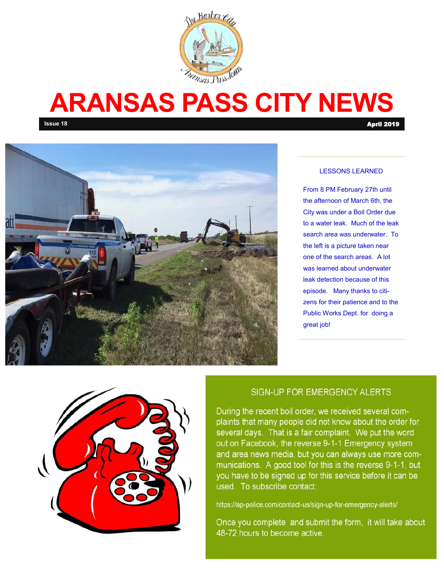

# **ARANSAS PASS CITY NEWS**

**Issue 18** April 2019



#### LESSONS LEARNED

From 8 PM February 27th until the afternoon of March 6th, the City was under a Boil Order due to a water leak. Much of the leak search area was underwater. To the left is a picture taken near one of the search areas. A lot was learned about underwater leak detection because of this episode. Many thanks to citizens for their patience and to the Public Works Dept. for doing a great job!



#### SIGN-UP FOR EMERGENCY ALERTS

During the recent boil order, we received several complaints that many people did not know about the order for several days. That is a fair complaint. We put the word out on Facebook, the reverse 9-1-1 Emergency system and area news media, but you can always use more communications. A good tool for this is the reverse 9-1-1, but you have to be signed up for this service before it can be used. To subscribe contact:

https://ap-police.com/contact-us/sign-up-for-emergency-alerts/

Once you complete and submit the form, it will take about 48-72 hours to become active.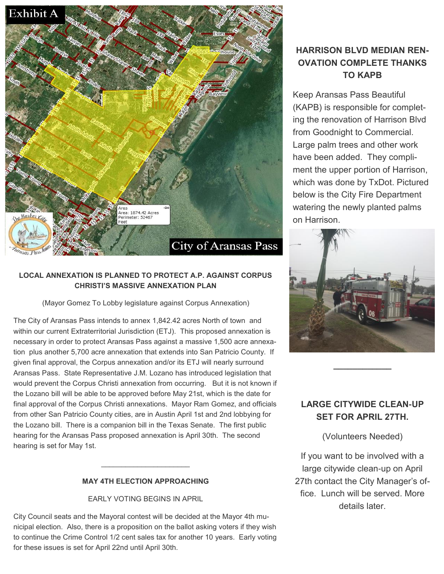

#### **LOCAL ANNEXATION IS PLANNED TO PROTECT A.P. AGAINST CORPUS CHRISTI'S MASSIVE ANNEXATION PLAN**

(Mayor Gomez To Lobby legislature against Corpus Annexation)

The City of Aransas Pass intends to annex 1,842.42 acres North of town and within our current Extraterritorial Jurisdiction (ETJ). This proposed annexation is necessary in order to protect Aransas Pass against a massive 1,500 acre annexation plus another 5,700 acre annexation that extends into San Patricio County. If given final approval, the Corpus annexation and/or its ETJ will nearly surround Aransas Pass. State Representative J.M. Lozano has introduced legislation that would prevent the Corpus Christi annexation from occurring. But it is not known if the Lozano bill will be able to be approved before May 21st, which is the date for final approval of the Corpus Christi annexations. Mayor Ram Gomez, and officials from other San Patricio County cities, are in Austin April 1st and 2nd lobbying for the Lozano bill. There is a companion bill in the Texas Senate. The first public hearing for the Aransas Pass proposed annexation is April 30th. The second hearing is set for May 1st.

#### **MAY 4TH ELECTION APPROACHING**

 $\overline{\phantom{a}}$  , where  $\overline{\phantom{a}}$  , where  $\overline{\phantom{a}}$  , where  $\overline{\phantom{a}}$ 

EARLY VOTING BEGINS IN APRIL

City Council seats and the Mayoral contest will be decided at the Mayor 4th municipal election. Also, there is a proposition on the ballot asking voters if they wish to continue the Crime Control 1/2 cent sales tax for another 10 years. Early voting for these issues is set for April 22nd until April 30th.

### **HARRISON BLVD MEDIAN REN-OVATION COMPLETE THANKS TO KAPB**

Keep Aransas Pass Beautiful (KAPB) is responsible for completing the renovation of Harrison Blvd from Goodnight to Commercial. Large palm trees and other work have been added. They compliment the upper portion of Harrison, which was done by TxDot. Pictured below is the City Fire Department watering the newly planted palms on Harrison.



#### **LARGE CITYWIDE CLEAN-UP SET FOR APRIL 27TH.**

**\_\_\_\_\_\_\_\_\_\_\_\_**

(Volunteers Needed)

If you want to be involved with a large citywide clean-up on April 27th contact the City Manager's office. Lunch will be served. More details later.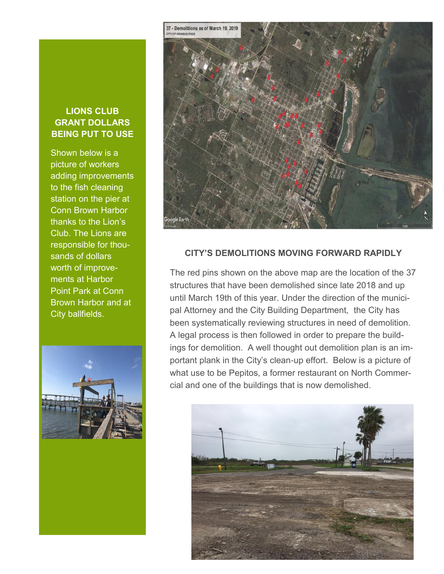#### **LIONS CLUB GRANT DOLLARS BEING PUT TO USE**

Shown below is a picture of workers adding improvements to the fish cleaning station on the pier at Conn Brown Harbor thanks to the Lion's Club. The Lions are responsible for thousands of dollars worth of improvements at Harbor Point Park at Conn Brown Harbor and at City ballfields.





#### **CITY'S DEMOLITIONS MOVING FORWARD RAPIDLY**

The red pins shown on the above map are the location of the 37 structures that have been demolished since late 2018 and up until March 19th of this year. Under the direction of the municipal Attorney and the City Building Department, the City has been systematically reviewing structures in need of demolition. A legal process is then followed in order to prepare the buildings for demolition. A well thought out demolition plan is an important plank in the City's clean-up effort. Below is a picture of what use to be Pepitos, a former restaurant on North Commercial and one of the buildings that is now demolished.